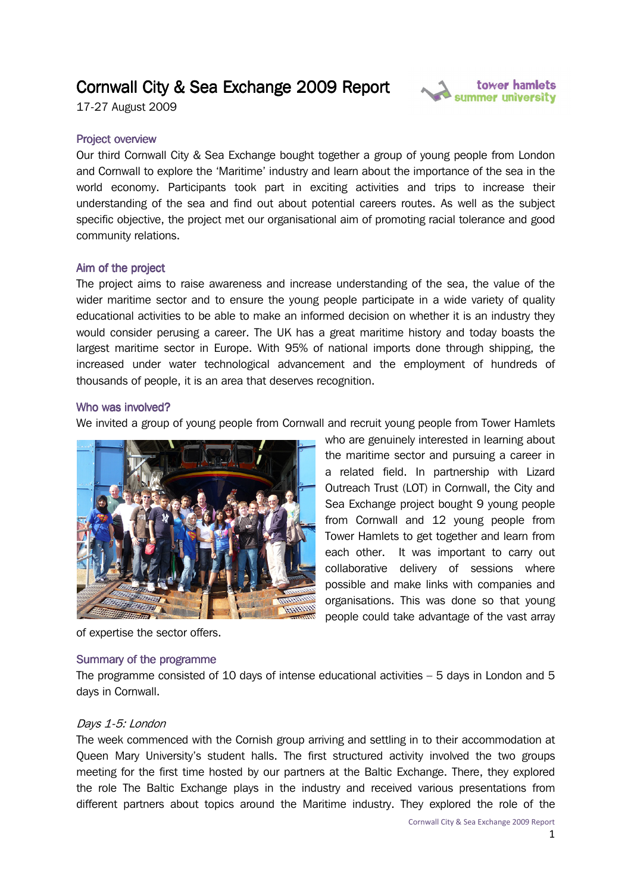# Cornwall City & Sea Exchange 2009 Report

17-27 August 2009



## **Project overview**

Our third Cornwall City & Sea Exchange bought together a group of young people from London and Cornwall to explore the 'Maritime' industry and learn about the importance of the sea in the world economy. Participants took part in exciting activities and trips to increase their understanding of the sea and find out about potential careers routes. As well as the subject specific objective, the project met our organisational aim of promoting racial tolerance and good community relations.

#### Aim of the project

The project aims to raise awareness and increase understanding of the sea, the value of the wider maritime sector and to ensure the young people participate in a wide variety of quality educational activities to be able to make an informed decision on whether it is an industry they would consider perusing a career. The UK has a great maritime history and today boasts the largest maritime sector in Europe. With 95% of national imports done through shipping, the increased under water technological advancement and the employment of hundreds of thousands of people, it is an area that deserves recognition.

#### Who was involved?

We invited a group of young people from Cornwall and recruit young people from Tower Hamlets



of expertise the sector offers.

#### Summary of the programme

The programme consisted of 10 days of intense educational activities  $-5$  days in London and 5 days in Cornwall.

## Days 1-5: London

The week commenced with the Cornish group arriving and settling in to their accommodation at Queen Mary University's student halls. The first structured activity involved the two groups meeting for the first time hosted by our partners at the Baltic Exchange. There, they explored the role The Baltic Exchange plays in the industry and received various presentations from different partners about topics around the Maritime industry. They explored the role of the

the maritime sector and pursuing a career in

Outreach Trust (LOT) in Cornwall, the City and

collaborative delivery of sessions where possible and make links with companies and organisations. This was done so that young people could take advantage of the vast array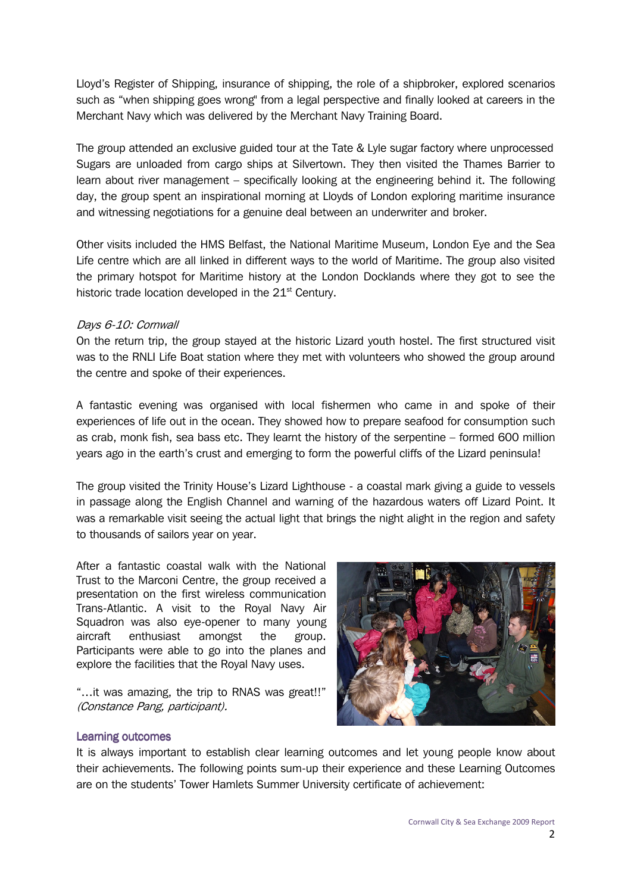Lloyd's Register of Shipping, insurance of shipping, the role of a shipbroker, explored scenarios such as "when shipping goes wrong" from a legal perspective and finally looked at careers in the Merchant Navy which was delivered by the Merchant Navy Training Board.

The group attended an exclusive guided tour at the Tate & Lyle sugar factory where unprocessed Sugars are unloaded from cargo ships at Silvertown. They then visited the Thames Barrier to learn about river management – specifically looking at the engineering behind it. The following day, the group spent an inspirational morning at Lloyds of London exploring maritime insurance and witnessing negotiations for a genuine deal between an underwriter and broker.

Other visits included the HMS Belfast, the National Maritime Museum, London Eye and the Sea Life centre which are all linked in different ways to the world of Maritime. The group also visited the primary hotspot for Maritime history at the London Docklands where they got to see the historic trade location developed in the 21<sup>st</sup> Century.

## Days 6-10: Cornwall

On the return trip, the group stayed at the historic Lizard youth hostel. The first structured visit was to the RNLI Life Boat station where they met with volunteers who showed the group around the centre and spoke of their experiences.

A fantastic evening was organised with local fishermen who came in and spoke of their experiences of life out in the ocean. They showed how to prepare seafood for consumption such as crab, monk fish, sea bass etc. They learnt the history of the serpentine – formed 600 million years ago in the earth's crust and emerging to form the powerful cliffs of the Lizard peninsula!

The group visited the Trinity House's Lizard Lighthouse - a coastal mark giving a guide to vessels in passage along the English Channel and warning of the hazardous waters off Lizard Point. It was a remarkable visit seeing the actual light that brings the night alight in the region and safety to thousands of sailors year on year.

After a fantastic coastal walk with the National Trust to the Marconi Centre, the group received a presentation on the first wireless communication Trans-Atlantic. A visit to the Royal Navy Air Squadron was also eye-opener to many young aircraft enthusiast amongst the group. Participants were able to go into the planes and explore the facilities that the Royal Navy uses.

"…it was amazing, the trip to RNAS was great!!" (Constance Pang, participant).



## **Learning outcomes**

It is always important to establish clear learning outcomes and let young people know about their achievements. The following points sum-up their experience and these Learning Outcomes are on the students' Tower Hamlets Summer University certificate of achievement: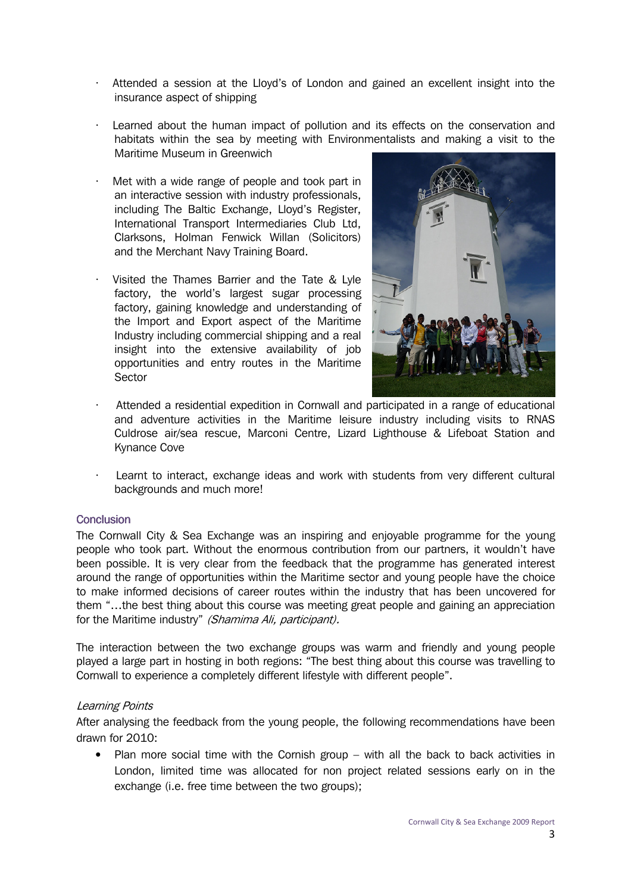- Attended a session at the Lloyd's of London and gained an excellent insight into the insurance aspect of shipping
- Learned about the human impact of pollution and its effects on the conservation and habitats within the sea by meeting with Environmentalists and making a visit to the Maritime Museum in Greenwich
- Met with a wide range of people and took part in an interactive session with industry professionals, including The Baltic Exchange, Lloyd's Register, International Transport Intermediaries Club Ltd, Clarksons, Holman Fenwick Willan (Solicitors) and the Merchant Navy Training Board.
- Visited the Thames Barrier and the Tate & Lyle factory, the world's largest sugar processing factory, gaining knowledge and understanding of the Import and Export aspect of the Maritime Industry including commercial shipping and a real insight into the extensive availability of job opportunities and entry routes in the Maritime Sector



- Attended a residential expedition in Cornwall and participated in a range of educational and adventure activities in the Maritime leisure industry including visits to RNAS Culdrose air/sea rescue, Marconi Centre, Lizard Lighthouse & Lifeboat Station and Kynance Cove
- Learnt to interact, exchange ideas and work with students from very different cultural backgrounds and much more!

# **Conclusion**

The Cornwall City & Sea Exchange was an inspiring and enjoyable programme for the young people who took part. Without the enormous contribution from our partners, it wouldn't have been possible. It is very clear from the feedback that the programme has generated interest around the range of opportunities within the Maritime sector and young people have the choice to make informed decisions of career routes within the industry that has been uncovered for them "…the best thing about this course was meeting great people and gaining an appreciation for the Maritime industry" (Shamima Ali, participant).

The interaction between the two exchange groups was warm and friendly and young people played a large part in hosting in both regions: "The best thing about this course was travelling to Cornwall to experience a completely different lifestyle with different people".

## Learning Points

After analysing the feedback from the young people, the following recommendations have been drawn for 2010:

• Plan more social time with the Cornish group – with all the back to back activities in London, limited time was allocated for non project related sessions early on in the exchange (i.e. free time between the two groups);